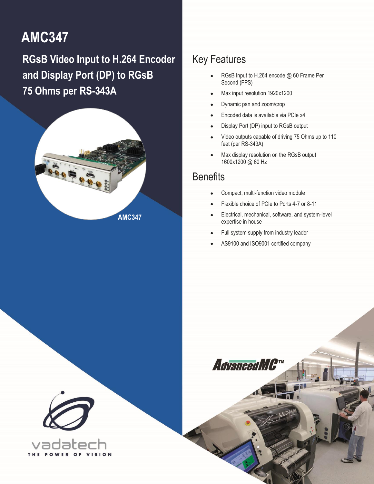# **AMC347**

<span id="page-0-0"></span>**RGsB Video Input to H.264 Encoder and Display Port (DP) to RGsB 75 Ohms per RS-343A**



### Key Features

- RGsB Input to H.264 encode @ 60 Frame Per Second (FPS)
- Max input resolution 1920x1200
- Dynamic pan and zoom/crop
- Encoded data is available via PCIe x4
- Display Port (DP) input to RGsB output
- Video outputs capable of driving 75 Ohms up to 110 feet (per RS-343A)
- Max display resolution on the RGsB output 1600x1200 @ 60 Hz

### **Benefits**

1 [AMC347](#page-0-0) – RGsB Video Input to H.264 Encoder and Display Port (DP) to RGsB **[info@vadatech.com](mailto:info@vadatech.com) [| www.vadatech.com](file:///C:/SVN/Datasheets/FMCs/FMC220/Trunk/www.vadatech.com)**

- Compact, multi-function video module
- Flexible choice of PCIe to Ports 4-7 or 8-11
- Electrical, mechanical, software, and system-level expertise in house
- Full system supply from industry leader
- AS9100 and ISO9001 certified company

AdvancedMC<sup>TM</sup>

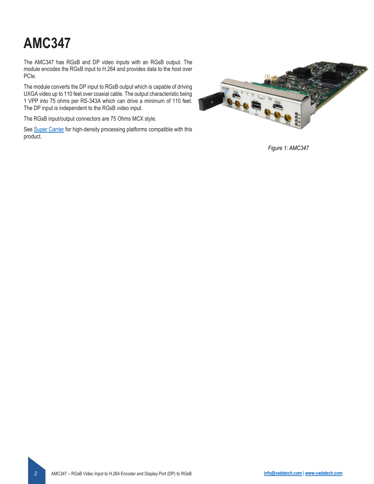# **[AMC347](#page-0-0)**

The AMC347 has RGsB and DP video inputs with an RGsB output. The module encodes the RGsB input to H.264 and provides data to the host over PCIe.

The module converts the DP input to RGsB output which is capable of driving UXGA video up to 110 feet over coaxial cable. The output characteristic being 1 VPP into 75 ohms per RS-343A which can drive a minimum of 110 feet. The DP input is independent to the RGsB video input.

The RGsB input/output connectors are 75 Ohms MCX style.

Se[e Super Carrier](https://www.vadatech.com/media/pdf_VT835_836_Brouchure.pdf) for high-density processing platforms compatible with this product.



*Figure 1: AMC347*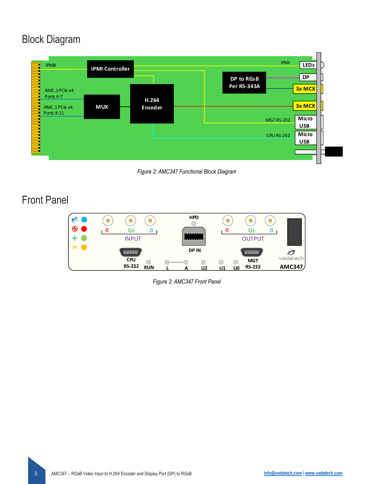### Block Diagram



*Figure 2: AMC347 Functional Block Diagram*

### Front Panel



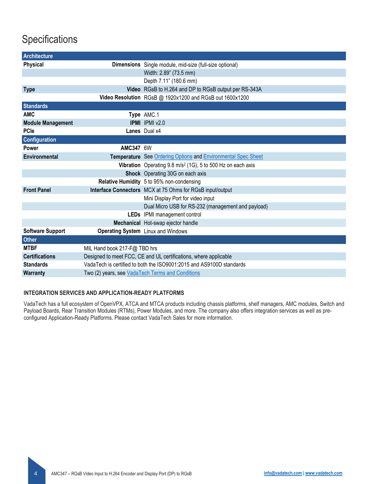## **Specifications**

| <b>Architecture</b>      |                                                                      |                                                                         |
|--------------------------|----------------------------------------------------------------------|-------------------------------------------------------------------------|
| <b>Physical</b>          |                                                                      | Dimensions Single module, mid-size (full-size optional)                 |
|                          |                                                                      | Width: 2.89" (73.5 mm)                                                  |
|                          |                                                                      | Depth 7.11" (180.6 mm)                                                  |
| <b>Type</b>              |                                                                      | Video RGsB to H.264 and DP to RGsB output per RS-343A                   |
|                          |                                                                      | Video Resolution RGsB @ 1920x1200 and RGsB out 1600x1200                |
| <b>Standards</b>         |                                                                      |                                                                         |
| <b>AMC</b>               |                                                                      | Type AMC.1                                                              |
| <b>Module Management</b> |                                                                      | <b>IPMI</b> IPMI v2.0                                                   |
| <b>PCIe</b>              |                                                                      | Lanes Dual x4                                                           |
| <b>Configuration</b>     |                                                                      |                                                                         |
| <b>Power</b>             | <b>AMC347 6W</b>                                                     |                                                                         |
| <b>Environmental</b>     |                                                                      | Temperature See Ordering Options and Environmental Spec Sheet           |
|                          |                                                                      | Vibration Operating 9.8 m/s <sup>2</sup> (1G), 5 to 500 Hz on each axis |
|                          |                                                                      | Shock Operating 30G on each axis                                        |
|                          |                                                                      | Relative Humidity 5 to 95% non-condensing                               |
| <b>Front Panel</b>       |                                                                      | Interface Connectors MCX at 75 Ohms for RGsB input/output               |
|                          |                                                                      | Mini Display Port for video input                                       |
|                          |                                                                      | Dual Micro USB for RS-232 (management and payload)                      |
|                          |                                                                      | LEDs IPMI management control                                            |
|                          |                                                                      | Mechanical Hot-swap ejector handle                                      |
| <b>Software Support</b>  |                                                                      | <b>Operating System</b> Linux and Windows                               |
| <b>Other</b>             |                                                                      |                                                                         |
| <b>MTBF</b>              | MIL Hand book 217-F@ TBD hrs                                         |                                                                         |
| <b>Certifications</b>    | Designed to meet FCC, CE and UL certifications, where applicable     |                                                                         |
| <b>Standards</b>         | VadaTech is certified to both the ISO9001:2015 and AS9100D standards |                                                                         |
| <b>Warranty</b>          | Two (2) years, see VadaTech Terms and Conditions                     |                                                                         |

#### **INTEGRATION SERVICES AND APPLICATION-READY PLATFORMS**

VadaTech has a full ecosystem of OpenVPX, ATCA and MTCA products including chassis platforms, shelf managers, AMC modules, Switch and Payload Boards, Rear Transition Modules (RTMs), Power Modules, and more. The company also offers integration services as well as preconfigured Application-Ready Platforms. Please contact VadaTech Sales for more information.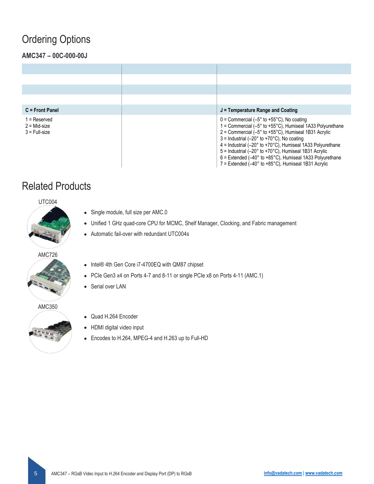### <span id="page-4-0"></span>Ordering Options

### **AMC347 – 00C-000-00J**

| $C =$ Front Panel                                 | $J =$ Temperature Range and Coating                                                                                                                                                                                                                                                                                                                                                                                                                                                                                                                                                                                               |
|---------------------------------------------------|-----------------------------------------------------------------------------------------------------------------------------------------------------------------------------------------------------------------------------------------------------------------------------------------------------------------------------------------------------------------------------------------------------------------------------------------------------------------------------------------------------------------------------------------------------------------------------------------------------------------------------------|
| 1 = Reserved<br>$2 = Mid-size$<br>$3$ = Full-size | $0 =$ Commercial (-5 $^{\circ}$ to +55 $^{\circ}$ C), No coating<br>1 = Commercial $(-5^{\circ}$ to +55 $^{\circ}$ C), Humiseal 1A33 Polyurethane<br>$2 =$ Commercial (-5 $\degree$ to +55 $\degree$ C), Humiseal 1B31 Acrylic<br>$3 =$ Industrial (-20 $\degree$ to +70 $\degree$ C). No coating<br>$4 =$ Industrial (-20 $\degree$ to +70 $\degree$ C), Humiseal 1A33 Polyurethane<br>$5 =$ Industrial (-20 $\degree$ to +70 $\degree$ C), Humiseal 1B31 Acrylic<br>$6$ = Extended (-40 $\degree$ to +85 $\degree$ C), Humiseal 1A33 Polyurethane<br>$7$ = Extended (-40 $^{\circ}$ to +85 $^{\circ}$ C). Humiseal 1B31 Acrylic |

### Related Products

UTC004

![](_page_4_Picture_5.jpeg)

- Single module, full size per AMC.0
- Unified 1 GHz quad-core CPU for MCMC, Shelf Manager, Clocking, and Fabric management
- Automatic fail-over with redundant UTC004s

#### AMC726

![](_page_4_Picture_10.jpeg)

- Intel® 4th Gen Core i7-4700EQ with QM87 chipset
- PCIe Gen3 x4 on Ports 4-7 and 8-11 or single PCIe x8 on Ports 4-11 (AMC.1)
- Serial over LAN

AMC350

![](_page_4_Picture_15.jpeg)

- Quad H.264 Encoder
- HDMI digital video input
- Encodes to H.264, MPEG-4 and H.263 up to Full-HD